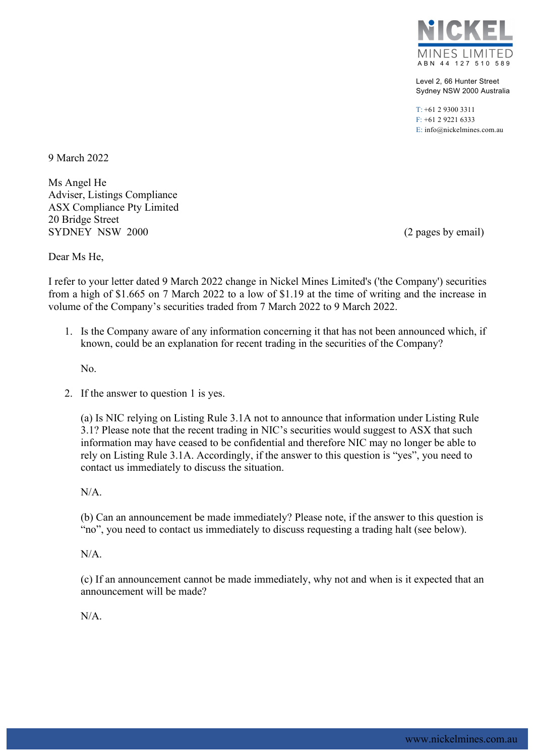

Level 2, 66 Hunter Street Sydney NSW 2000 Australia

T: +61 2 9300 3311 F: +61 2 9221 6333 E: info@nickelmines.com.au

9 March 2022

Ms Angel He Adviser, Listings Compliance ASX Compliance Pty Limited 20 Bridge Street SYDNEY NSW 2000 (2 pages by email)

Dear Ms He,

I refer to your letter dated 9 March 2022 change in Nickel Mines Limited's ('the Company') securities from a high of \$1.665 on 7 March 2022 to a low of \$1.19 at the time of writing and the increase in volume of the Company's securities traded from 7 March 2022 to 9 March 2022.

1. Is the Company aware of any information concerning it that has not been announced which, if known, could be an explanation for recent trading in the securities of the Company?

No.

2. If the answer to question 1 is yes.

(a) Is NIC relying on Listing Rule 3.1A not to announce that information under Listing Rule 3.1? Please note that the recent trading in NIC's securities would suggest to ASX that such information may have ceased to be confidential and therefore NIC may no longer be able to rely on Listing Rule 3.1A. Accordingly, if the answer to this question is "yes", you need to contact us immediately to discuss the situation.

N/A.

(b) Can an announcement be made immediately? Please note, if the answer to this question is "no", you need to contact us immediately to discuss requesting a trading halt (see below).

N/A.

(c) If an announcement cannot be made immediately, why not and when is it expected that an announcement will be made?

N/A.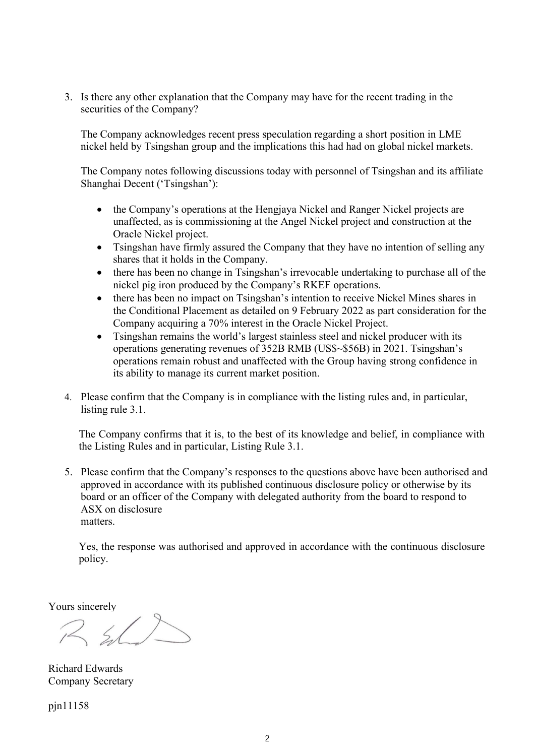3. Is there any other explanation that the Company may have for the recent trading in the securities of the Company?

The Company acknowledges recent press speculation regarding a short position in LME nickel held by Tsingshan group and the implications this had had on global nickel markets.

The Company notes following discussions today with personnel of Tsingshan and its affiliate Shanghai Decent ('Tsingshan'):

- the Company's operations at the Hengjaya Nickel and Ranger Nickel projects are unaffected, as is commissioning at the Angel Nickel project and construction at the Oracle Nickel project.
- Tsingshan have firmly assured the Company that they have no intention of selling any shares that it holds in the Company.
- there has been no change in Tsingshan's irrevocable undertaking to purchase all of the nickel pig iron produced by the Company's RKEF operations.
- there has been no impact on Tsingshan's intention to receive Nickel Mines shares in the Conditional Placement as detailed on 9 February 2022 as part consideration for the Company acquiring a 70% interest in the Oracle Nickel Project.
- Tsingshan remains the world's largest stainless steel and nickel producer with its operations generating revenues of 352B RMB (US\$~\$56B) in 2021. Tsingshan's operations remain robust and unaffected with the Group having strong confidence in its ability to manage its current market position.
- 4. Please confirm that the Company is in compliance with the listing rules and, in particular, listing rule 3.1.

The Company confirms that it is, to the best of its knowledge and belief, in compliance with the Listing Rules and in particular, Listing Rule 3.1.

5. Please confirm that the Company's responses to the questions above have been authorised and approved in accordance with its published continuous disclosure policy or otherwise by its board or an officer of the Company with delegated authority from the board to respond to ASX on disclosure matters.

Yes, the response was authorised and approved in accordance with the continuous disclosure policy.

Yours sincerely

 $R$  s/

Richard Edwards Company Secretary

pjn11158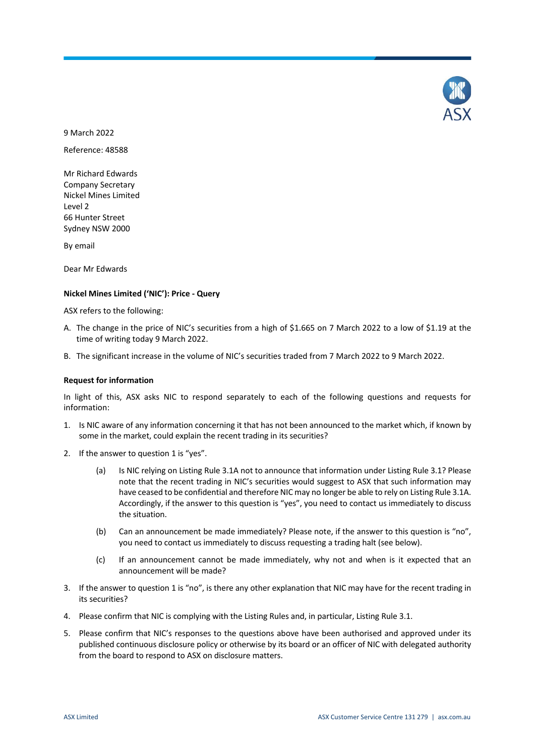

9 March 2022

Reference: 48588

Mr Richard Edwards Company Secretary Nickel Mines Limited Level 2 66 Hunter Street Sydney NSW 2000

By email

Dear Mr Edwards

#### **Nickel Mines Limited ('NIC'): Price - Query**

ASX refers to the following:

- A. The change in the price of NIC's securities from a high of \$1.665 on 7 March 2022 to a low of \$1.19 at the time of writing today 9 March 2022.
- B. The significant increase in the volume of NIC's securities traded from 7 March 2022 to 9 March 2022.

#### **Request for information**

In light of this, ASX asks NIC to respond separately to each of the following questions and requests for information:

- 1. Is NIC aware of any information concerning it that has not been announced to the market which, if known by some in the market, could explain the recent trading in its securities?
- 2. If the answer to question 1 is "yes".
	- (a) Is NIC relying on Listing Rule 3.1A not to announce that information under Listing Rule 3.1? Please note that the recent trading in NIC's securities would suggest to ASX that such information may have ceased to be confidential and therefore NIC may no longer be able to rely on Listing Rule 3.1A. Accordingly, if the answer to this question is "yes", you need to contact us immediately to discuss the situation.
	- (b) Can an announcement be made immediately? Please note, if the answer to this question is "no", you need to contact us immediately to discuss requesting a trading halt (see below).
	- (c) If an announcement cannot be made immediately, why not and when is it expected that an announcement will be made?
- 3. If the answer to question 1 is "no", is there any other explanation that NIC may have for the recent trading in its securities?
- 4. Please confirm that NIC is complying with the Listing Rules and, in particular, Listing Rule 3.1.
- 5. Please confirm that NIC's responses to the questions above have been authorised and approved under its published continuous disclosure policy or otherwise by its board or an officer of NIC with delegated authority from the board to respond to ASX on disclosure matters.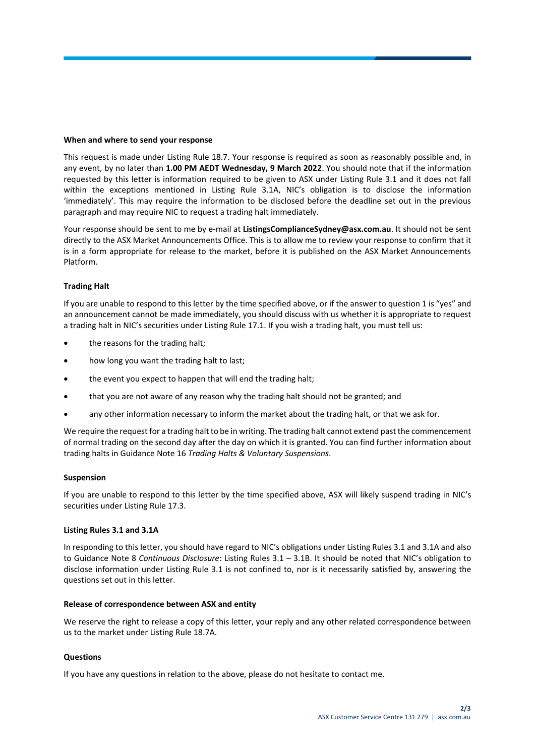#### **When and where to send your response**

This request is made under Listing Rule 18.7. Your response is required as soon as reasonably possible and, in any event, by no later than **1.00 PM AEDT Wednesday, 9 March 2022**. You should note that if the information requested by this letter is information required to be given to ASX under Listing Rule 3.1 and it does not fall within the exceptions mentioned in Listing Rule 3.1A, NIC's obligation is to disclose the information 'immediately'. This may require the information to be disclosed before the deadline set out in the previous paragraph and may require NIC to request a trading halt immediately.

Your response should be sent to me by e-mail at **ListingsComplianceSydney@asx.com.au**. It should not be sent directly to the ASX Market Announcements Office. This is to allow me to review your response to confirm that it is in a form appropriate for release to the market, before it is published on the ASX Market Announcements Platform.

# **Trading Halt**

If you are unable to respond to this letter by the time specified above, or if the answer to question 1 is "yes" and an announcement cannot be made immediately, you should discuss with us whether it is appropriate to request a trading halt in NIC's securities under Listing Rule 17.1. If you wish a trading halt, you must tell us:

- the reasons for the trading halt;
- how long you want the trading halt to last;
- the event you expect to happen that will end the trading halt;
- that you are not aware of any reason why the trading halt should not be granted; and
- any other information necessary to inform the market about the trading halt, or that we ask for.

We require the request for a trading halt to be in writing. The trading halt cannot extend past the commencement of normal trading on the second day after the day on which it is granted. You can find further information about trading halts in Guidance Note 16 *Trading Halts & Voluntary Suspensions*.

# **Suspension**

If you are unable to respond to this letter by the time specified above, ASX will likely suspend trading in NIC's securities under Listing Rule 17.3.

# **Listing Rules 3.1 and 3.1A**

In responding to this letter, you should have regard to NIC's obligations under Listing Rules 3.1 and 3.1A and also to Guidance Note 8 *Continuous Disclosure*: Listing Rules 3.1 – 3.1B. It should be noted that NIC's obligation to disclose information under Listing Rule 3.1 is not confined to, nor is it necessarily satisfied by, answering the questions set out in this letter.

# **Release of correspondence between ASX and entity**

We reserve the right to release a copy of this letter, your reply and any other related correspondence between us to the market under Listing Rule 18.7A.

# **Questions**

If you have any questions in relation to the above, please do not hesitate to contact me.